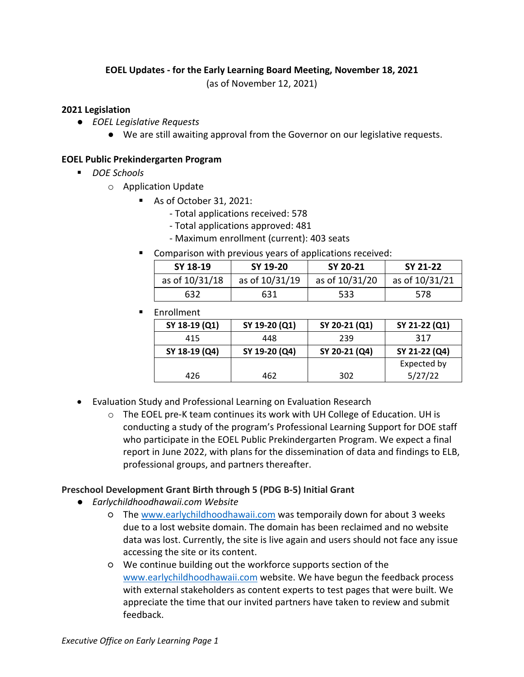# **EOEL Updates - for the Early Learning Board Meeting, November 18, 2021**

(as of November 12, 2021)

#### **2021 Legislation**

- *EOEL Legislative Requests*
	- We are still awaiting approval from the Governor on our legislative requests.

### **EOEL Public Prekindergarten Program**

- *DOE Schools* 
	- o Application Update
		- As of October 31, 2021:
			- Total applications received: 578
			- Total applications approved: 481
			- Maximum enrollment (current): 403 seats
		- **EXP** Comparison with previous years of applications received:

| SY 18-19       | SY 19-20       | SY 20-21       | SY 21-22       |
|----------------|----------------|----------------|----------------|
| as of 10/31/18 | as of 10/31/19 | as of 10/31/20 | as of 10/31/21 |
| 632            | 631            | 533            | 578            |

**Enrollment** 

| SY 18-19 (Q1) | SY 19-20 (Q1) | SY 20-21 (Q1) | SY 21-22 (Q1) |
|---------------|---------------|---------------|---------------|
| 415           | 448           | 239           | 317           |
| SY 18-19 (Q4) | SY 19-20 (Q4) | SY 20-21 (Q4) | SY 21-22 (Q4) |
|               |               |               | Expected by   |
| 426           | 462           | 302           | 5/27/22       |

- Evaluation Study and Professional Learning on Evaluation Research
	- $\circ$  The EOEL pre-K team continues its work with UH College of Education. UH is conducting a study of the program's Professional Learning Support for DOE staff who participate in the EOEL Public Prekindergarten Program. We expect a final report in June 2022, with plans for the dissemination of data and findings to ELB, professional groups, and partners thereafter.

## **Preschool Development Grant Birth through 5 (PDG B-5) Initial Grant**

- *Earlychildhoodhawaii.com Website*
	- The www.earlychildhoodhawaii.com was temporaily down for about 3 weeks due to a lost website domain. The domain has been reclaimed and no website data was lost. Currently, the site is live again and users should not face any issue accessing the site or its content.
	- We continue building out the workforce supports section of the www.earlychildhoodhawaii.com website. We have begun the feedback process with external stakeholders as content experts to test pages that were built. We appreciate the time that our invited partners have taken to review and submit feedback.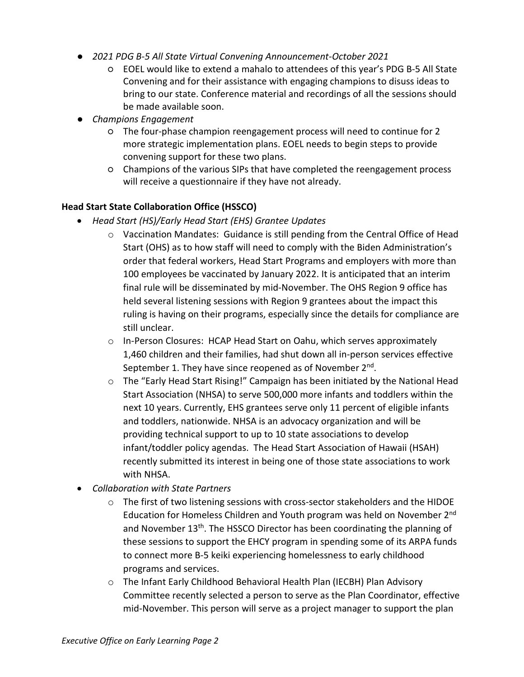- *2021 PDG B-5 All State Virtual Convening Announcement-October 2021*
	- EOEL would like to extend a mahalo to attendees of this year's PDG B-5 All State Convening and for their assistance with engaging champions to disuss ideas to bring to our state. Conference material and recordings of all the sessions should be made available soon.
- *Champions Engagement*
	- The four-phase champion reengagement process will need to continue for 2 more strategic implementation plans. EOEL needs to begin steps to provide convening support for these two plans.
	- Champions of the various SIPs that have completed the reengagement process will receive a questionnaire if they have not already.

# **Head Start State Collaboration Office (HSSCO)**

- *Head Start (HS)/Early Head Start (EHS) Grantee Updates*
	- $\circ$  Vaccination Mandates: Guidance is still pending from the Central Office of Head Start (OHS) as to how staff will need to comply with the Biden Administration's order that federal workers, Head Start Programs and employers with more than 100 employees be vaccinated by January 2022. It is anticipated that an interim final rule will be disseminated by mid-November. The OHS Region 9 office has held several listening sessions with Region 9 grantees about the impact this ruling is having on their programs, especially since the details for compliance are still unclear.
	- o In-Person Closures: HCAP Head Start on Oahu, which serves approximately 1,460 children and their families, had shut down all in-person services effective September 1. They have since reopened as of November 2<sup>nd</sup>.
	- $\circ$  The "Early Head Start Rising!" Campaign has been initiated by the National Head Start Association (NHSA) to serve 500,000 more infants and toddlers within the next 10 years. Currently, EHS grantees serve only 11 percent of eligible infants and toddlers, nationwide. NHSA is an advocacy organization and will be providing technical support to up to 10 state associations to develop infant/toddler policy agendas. The Head Start Association of Hawaii (HSAH) recently submitted its interest in being one of those state associations to work with NHSA.
- *Collaboration with State Partners*
	- $\circ$  The first of two listening sessions with cross-sector stakeholders and the HIDOE Education for Homeless Children and Youth program was held on November 2nd and November 13<sup>th</sup>. The HSSCO Director has been coordinating the planning of these sessions to support the EHCY program in spending some of its ARPA funds to connect more B-5 keiki experiencing homelessness to early childhood programs and services.
	- o The Infant Early Childhood Behavioral Health Plan (IECBH) Plan Advisory Committee recently selected a person to serve as the Plan Coordinator, effective mid-November. This person will serve as a project manager to support the plan